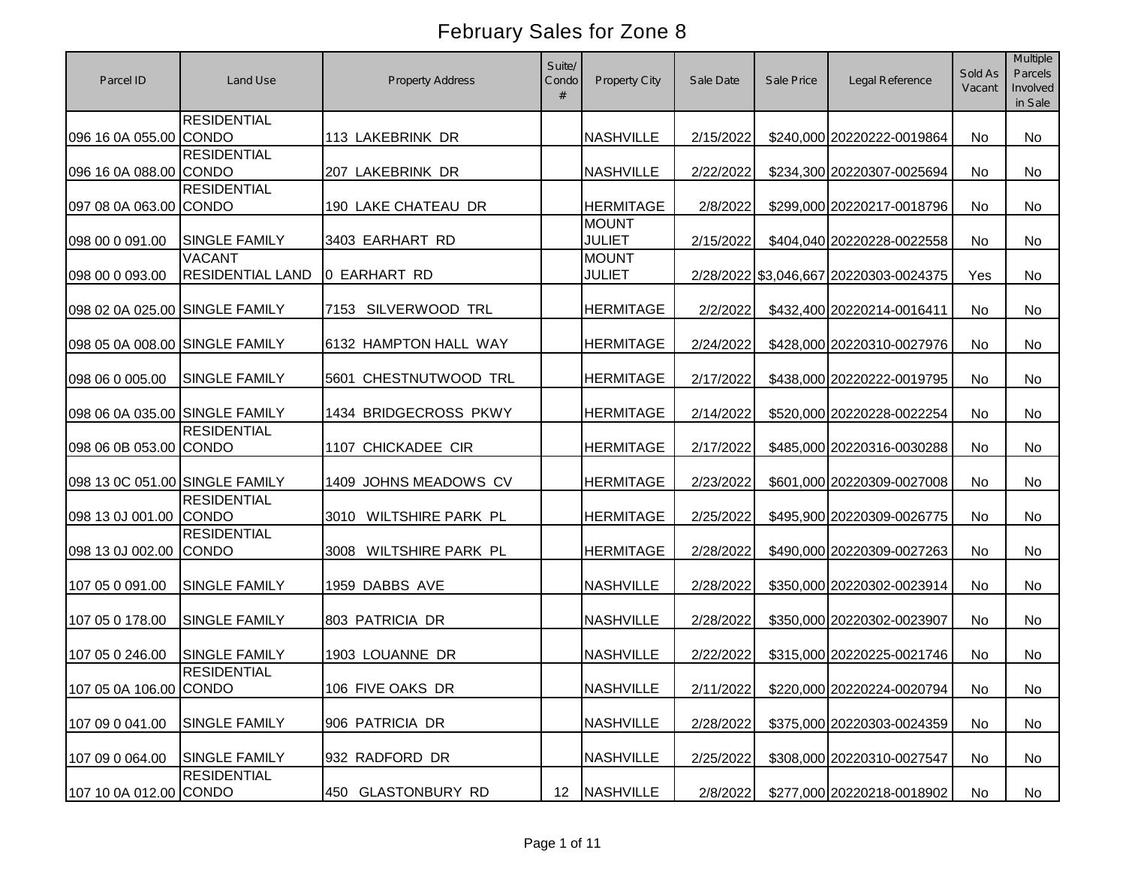| Parcel ID                      | Land Use                                 | <b>Property Address</b>   | Suite/<br>Condo<br># | <b>Property City</b>          | Sale Date | Sale Price | Legal Reference                        | Sold As<br>Vacant | Multiple<br>Parcels<br>Involved<br>in Sale |
|--------------------------------|------------------------------------------|---------------------------|----------------------|-------------------------------|-----------|------------|----------------------------------------|-------------------|--------------------------------------------|
| 096 16 0A 055.00 CONDO         | <b>RESIDENTIAL</b>                       | 113 LAKEBRINK DR          |                      | <b>NASHVILLE</b>              | 2/15/2022 |            | \$240,000 20220222-0019864             | No                | No                                         |
| 096 16 0A 088.00 CONDO         | <b>RESIDENTIAL</b>                       | 207 LAKEBRINK DR          |                      | <b>NASHVILLE</b>              | 2/22/2022 |            | \$234,300 20220307-0025694             | No                | No                                         |
| 097 08 0A 063.00 CONDO         | <b>RESIDENTIAL</b>                       | 190 LAKE CHATEAU DR       |                      | <b>HERMITAGE</b>              | 2/8/2022  |            | \$299,000 20220217-0018796             | No                | No                                         |
| 098 00 0 091.00                | <b>SINGLE FAMILY</b>                     | 3403 EARHART RD           |                      | <b>MOUNT</b><br><b>JULIET</b> | 2/15/2022 |            | \$404,040 20220228-0022558             | No                | <b>No</b>                                  |
| 098 00 0 093.00                | <b>VACANT</b><br><b>RESIDENTIAL LAND</b> | 0 EARHART RD              |                      | <b>MOUNT</b><br><b>JULIET</b> |           |            | 2/28/2022 \$3,046,667 20220303-0024375 | Yes               | <b>No</b>                                  |
| 098 02 0A 025.00 SINGLE FAMILY |                                          | 7153 SILVERWOOD TRL       |                      | <b>HERMITAGE</b>              | 2/2/2022  |            | \$432,400 20220214-0016411             | No.               | <b>No</b>                                  |
| 098 05 0A 008.00 SINGLE FAMILY |                                          | 6132 HAMPTON HALL WAY     |                      | <b>HERMITAGE</b>              | 2/24/2022 |            | \$428,000 20220310-0027976             | No                | No                                         |
| 098 06 0 005.00                | <b>SINGLE FAMILY</b>                     | 5601 CHESTNUTWOOD TRL     |                      | <b>HERMITAGE</b>              | 2/17/2022 |            | \$438,000 20220222-0019795             | No                | <b>No</b>                                  |
| 098 06 0A 035.00 SINGLE FAMILY |                                          | 1434 BRIDGECROSS PKWY     |                      | <b>HERMITAGE</b>              | 2/14/2022 |            | \$520,000 20220228-0022254             | No                | <b>No</b>                                  |
| 098 06 0B 053.00 CONDO         | <b>RESIDENTIAL</b>                       | 1107 CHICKADEE CIR        |                      | <b>HERMITAGE</b>              | 2/17/2022 |            | \$485,000 20220316-0030288             | No                | <b>No</b>                                  |
| 098 13 0C 051.00 SINGLE FAMILY |                                          | 1409 JOHNS MEADOWS CV     |                      | <b>HERMITAGE</b>              | 2/23/2022 |            | \$601,000 20220309-0027008             | No                | No                                         |
| 098 13 0J 001.00               | <b>RESIDENTIAL</b><br><b>CONDO</b>       | WILTSHIRE PARK PL<br>3010 |                      | <b>HERMITAGE</b>              | 2/25/2022 |            | \$495,900 20220309-0026775             | <b>No</b>         | <b>No</b>                                  |
| 098 13 0J 002.00               | <b>RESIDENTIAL</b><br><b>CONDO</b>       | WILTSHIRE PARK PL<br>3008 |                      | <b>HERMITAGE</b>              | 2/28/2022 |            | \$490,000 20220309-0027263             | No                | No                                         |
| 107 05 0 091.00                | SINGLE FAMILY                            | 1959 DABBS AVE            |                      | <b>NASHVILLE</b>              | 2/28/2022 |            | \$350,000 20220302-0023914             | <b>No</b>         | No                                         |
| 107 05 0 178.00                | SINGLE FAMILY                            | 803 PATRICIA DR           |                      | <b>NASHVILLE</b>              | 2/28/2022 |            | \$350,000 20220302-0023907             | <b>No</b>         | No                                         |
| 107 05 0 246.00                | <b>SINGLE FAMILY</b>                     | 1903 LOUANNE DR           |                      | <b>NASHVILLE</b>              | 2/22/2022 |            | \$315,000 20220225-0021746             | <b>No</b>         | No                                         |
| 107 05 0A 106.00 CONDO         | <b>RESIDENTIAL</b>                       | 106 FIVE OAKS DR          |                      | <b>NASHVILLE</b>              | 2/11/2022 |            | \$220,000 20220224-0020794             | No                | No                                         |
| 107 09 0 041.00                | <b>SINGLE FAMILY</b>                     | 906 PATRICIA DR           |                      | <b>NASHVILLE</b>              | 2/28/2022 |            | \$375,000 20220303-0024359             | No                | No                                         |
| 107 09 0 064.00                | <b>SINGLE FAMILY</b>                     | 932 RADFORD DR            |                      | <b>NASHVILLE</b>              | 2/25/2022 |            | \$308,000 20220310-0027547             | No                | No                                         |
| 107 10 0A 012.00 CONDO         | <b>RESIDENTIAL</b>                       | 450 GLASTONBURY RD        | 12                   | <b>NASHVILLE</b>              | 2/8/2022  |            | \$277,000 20220218-0018902             | No                | No                                         |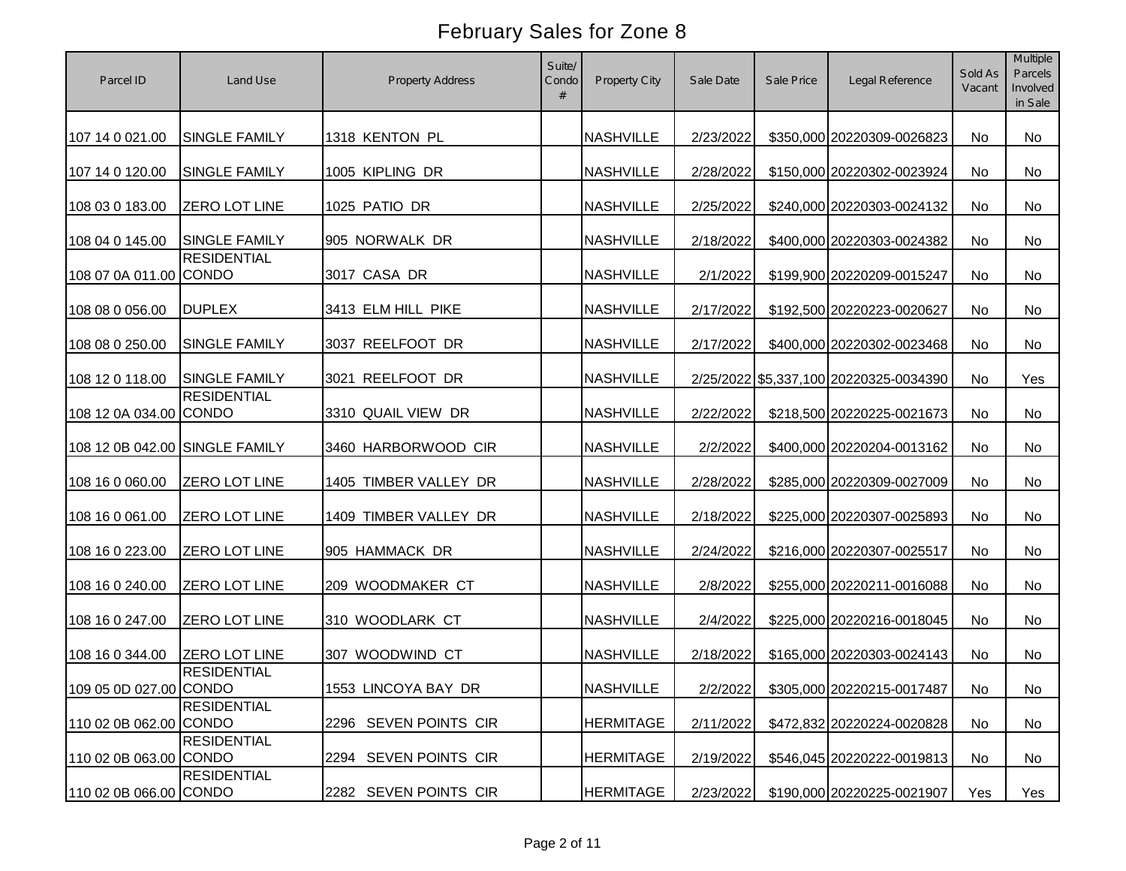| Parcel ID                      | Land Use             | <b>Property Address</b> | Suite/<br>Condo<br># | Property City    | Sale Date | Sale Price | Legal Reference                        | Sold As<br>Vacant | Multiple<br>Parcels<br>Involved<br>in Sale |
|--------------------------------|----------------------|-------------------------|----------------------|------------------|-----------|------------|----------------------------------------|-------------------|--------------------------------------------|
| 107 14 0 021.00                | <b>SINGLE FAMILY</b> | 1318 KENTON PL          |                      | <b>NASHVILLE</b> | 2/23/2022 |            | \$350,000 20220309-0026823             | <b>No</b>         | <b>No</b>                                  |
| 107 14 0 120.00                | <b>SINGLE FAMILY</b> | 1005 KIPLING DR         |                      | <b>NASHVILLE</b> | 2/28/2022 |            | \$150,000 20220302-0023924             | No                | No                                         |
| 108 03 0 183.00                | <b>ZERO LOT LINE</b> | 1025 PATIO DR           |                      | <b>NASHVILLE</b> | 2/25/2022 |            | \$240,000 20220303-0024132             | No                | No                                         |
| 108 04 0 145.00                | <b>SINGLE FAMILY</b> | 905 NORWALK DR          |                      | <b>NASHVILLE</b> | 2/18/2022 |            | \$400,000 20220303-0024382             | No                | No                                         |
| 108 07 0A 011.00 CONDO         | <b>RESIDENTIAL</b>   | 3017 CASA DR            |                      | <b>NASHVILLE</b> | 2/1/2022  |            | \$199,900 20220209-0015247             | No                | No                                         |
| 108 08 0 056.00                | <b>DUPLEX</b>        | 3413 ELM HILL PIKE      |                      | <b>NASHVILLE</b> | 2/17/2022 |            | \$192,500 20220223-0020627             | No                | No                                         |
| 108 08 0 250.00                | SINGLE FAMILY        | 3037 REELFOOT DR        |                      | <b>NASHVILLE</b> | 2/17/2022 |            | \$400,000 20220302-0023468             | No                | No                                         |
| 108 12 0 118.00                | <b>SINGLE FAMILY</b> | 3021 REELFOOT DR        |                      | <b>NASHVILLE</b> |           |            | 2/25/2022 \$5,337,100 20220325-0034390 | No                | Yes                                        |
| 108 12 0A 034.00 CONDO         | <b>RESIDENTIAL</b>   | 3310 QUAIL VIEW DR      |                      | <b>NASHVILLE</b> | 2/22/2022 |            | \$218,500 20220225-0021673             | No                | No                                         |
| 108 12 0B 042.00 SINGLE FAMILY |                      | 3460 HARBORWOOD CIR     |                      | <b>NASHVILLE</b> | 2/2/2022  |            | \$400,000 20220204-0013162             | No                | No                                         |
| 108 16 0 060.00                | <b>ZERO LOT LINE</b> | 1405 TIMBER VALLEY DR   |                      | <b>NASHVILLE</b> | 2/28/2022 |            | \$285,000 20220309-0027009             | No                | No                                         |
| 108 16 0 061.00                | <b>ZERO LOT LINE</b> | 1409 TIMBER VALLEY DR   |                      | <b>NASHVILLE</b> | 2/18/2022 |            | \$225,000 20220307-0025893             | No                | No                                         |
| 108 16 0 223.00                | <b>ZERO LOT LINE</b> | 905 HAMMACK DR          |                      | <b>NASHVILLE</b> | 2/24/2022 |            | \$216,000 20220307-0025517             | No                | No                                         |
| 108 16 0 240.00                | <b>ZERO LOT LINE</b> | 209 WOODMAKER CT        |                      | <b>NASHVILLE</b> | 2/8/2022  |            | \$255,000 20220211-0016088             | No                | No                                         |
| 108 16 0 247.00                | ZERO LOT LINE        | 310 WOODLARK CT         |                      | <b>NASHVILLE</b> | 2/4/2022  |            | \$225,000 20220216-0018045             | No                | No                                         |
| 108 16 0 344.00                | <b>ZERO LOT LINE</b> | 307 WOODWIND CT         |                      | <b>NASHVILLE</b> | 2/18/2022 |            | \$165,000 20220303-0024143             | No                | No                                         |
| 109 05 0D 027.00 CONDO         | <b>RESIDENTIAL</b>   | 1553 LINCOYA BAY DR     |                      | <b>NASHVILLE</b> | 2/2/2022  |            | \$305,000 20220215-0017487             | No                | No                                         |
| 110 02 0B 062.00 CONDO         | <b>RESIDENTIAL</b>   | 2296 SEVEN POINTS CIR   |                      | <b>HERMITAGE</b> | 2/11/2022 |            | \$472,832 20220224-0020828             | No                | No                                         |
| 110 02 0B 063.00 CONDO         | <b>RESIDENTIAL</b>   | 2294 SEVEN POINTS CIR   |                      | <b>HERMITAGE</b> | 2/19/2022 |            | \$546,045 20220222-0019813             | No                | No                                         |
| 110 02 0B 066.00 CONDO         | <b>RESIDENTIAL</b>   | 2282 SEVEN POINTS CIR   |                      | <b>HERMITAGE</b> | 2/23/2022 |            | \$190,000 20220225-0021907             | Yes               | Yes                                        |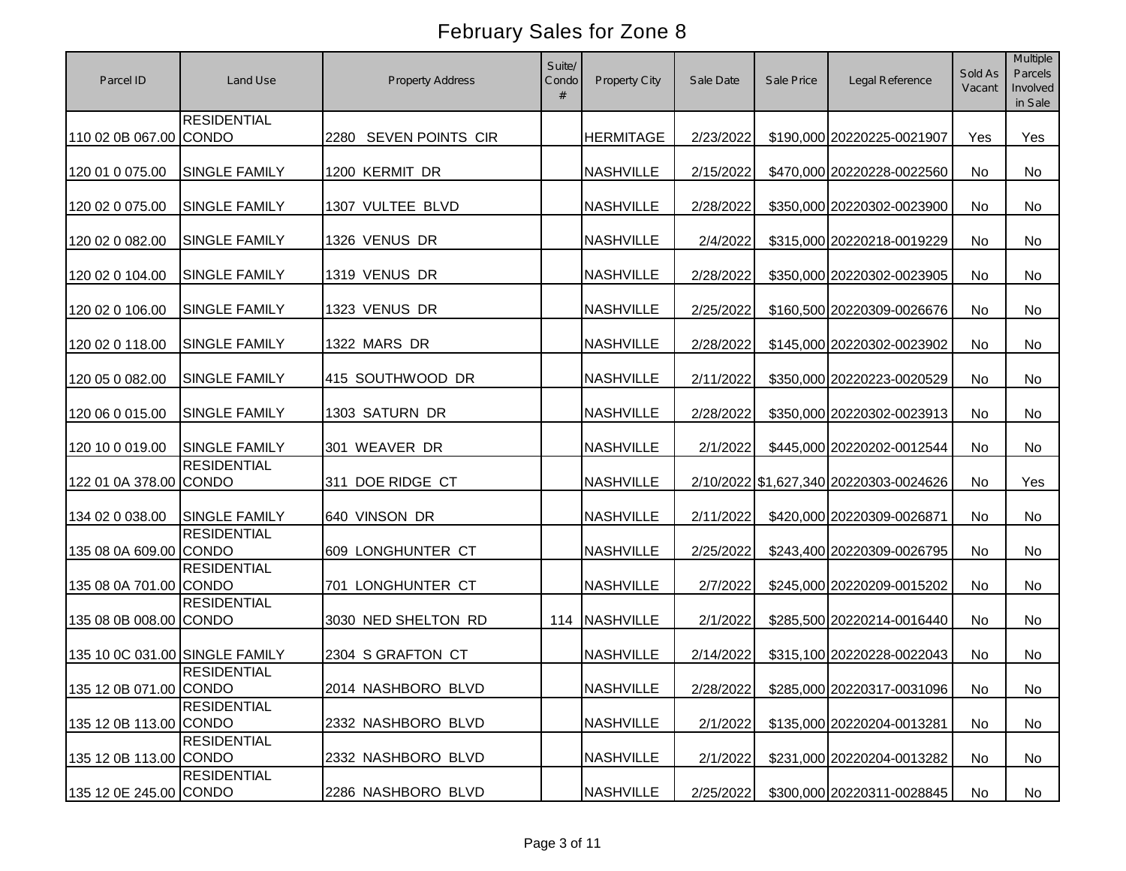| Parcel ID                      | Land Use                                   | <b>Property Address</b> | Suite/<br>Condo<br># | Property City    | Sale Date | Sale Price | Legal Reference                        | Sold As<br>Vacant | Multiple<br>Parcels<br>Involved<br>in Sale |
|--------------------------------|--------------------------------------------|-------------------------|----------------------|------------------|-----------|------------|----------------------------------------|-------------------|--------------------------------------------|
| 110 02 0B 067.00 CONDO         | <b>RESIDENTIAL</b>                         | 2280 SEVEN POINTS CIR   |                      | <b>HERMITAGE</b> | 2/23/2022 |            | \$190,000 20220225-0021907             | Yes               | Yes                                        |
| 120 01 0 075.00                | SINGLE FAMILY                              | 1200 KERMIT DR          |                      | <b>NASHVILLE</b> | 2/15/2022 |            | \$470,000 20220228-0022560             | No                | No                                         |
| 120 02 0 075.00                | <b>SINGLE FAMILY</b>                       | 1307 VULTEE BLVD        |                      | <b>NASHVILLE</b> | 2/28/2022 |            | \$350,000 20220302-0023900             | No                | No                                         |
| 120 02 0 082.00                | SINGLE FAMILY                              | 1326 VENUS DR           |                      | <b>NASHVILLE</b> | 2/4/2022  |            | \$315,000 20220218-0019229             | No                | No                                         |
| 120 02 0 104.00                | SINGLE FAMILY                              | 1319 VENUS DR           |                      | <b>NASHVILLE</b> | 2/28/2022 |            | \$350,000 20220302-0023905             | No                | <b>No</b>                                  |
| 120 02 0 106.00                | SINGLE FAMILY                              | 1323 VENUS DR           |                      | <b>NASHVILLE</b> | 2/25/2022 |            | \$160,500 20220309-0026676             | No                | <b>No</b>                                  |
| 120 02 0 118.00                | <b>SINGLE FAMILY</b>                       | 1322 MARS DR            |                      | <b>NASHVILLE</b> | 2/28/2022 |            | \$145,000 20220302-0023902             | No                | No                                         |
| 120 05 0 082.00                | SINGLE FAMILY                              | 415 SOUTHWOOD DR        |                      | <b>NASHVILLE</b> | 2/11/2022 |            | \$350,000 20220223-0020529             | No                | No                                         |
| 120 06 0 015.00                | SINGLE FAMILY                              | 1303 SATURN DR          |                      | <b>NASHVILLE</b> | 2/28/2022 |            | \$350,000 20220302-0023913             | No                | No                                         |
| 120 10 0 019.00                | <b>SINGLE FAMILY</b><br><b>RESIDENTIAL</b> | 301 WEAVER DR           |                      | <b>NASHVILLE</b> | 2/1/2022  |            | \$445,000 20220202-0012544             | No                | No                                         |
| 122 01 0A 378.00               | <b>CONDO</b>                               | 311 DOE RIDGE CT        |                      | <b>NASHVILLE</b> |           |            | 2/10/2022 \$1,627,340 20220303-0024626 | No                | Yes                                        |
| 134 02 0 038.00                | <b>SINGLE FAMILY</b>                       | 640 VINSON DR           |                      | <b>NASHVILLE</b> | 2/11/2022 |            | \$420,000 20220309-0026871             | No                | <b>No</b>                                  |
| 135 08 0A 609.00 CONDO         | <b>RESIDENTIAL</b>                         | 609 LONGHUNTER CT       |                      | <b>NASHVILLE</b> | 2/25/2022 |            | \$243,400 20220309-0026795             | No                | No                                         |
| 135 08 0A 701.00 CONDO         | <b>RESIDENTIAL</b>                         | 701 LONGHUNTER CT       |                      | <b>NASHVILLE</b> | 2/7/2022  |            | \$245,000 20220209-0015202             | <b>No</b>         | No                                         |
| 135 08 0B 008.00 CONDO         | <b>RESIDENTIAL</b>                         | 3030 NED SHELTON RD     | 114                  | <b>NASHVILLE</b> | 2/1/2022  |            | \$285,500 20220214-0016440             | <b>No</b>         | No                                         |
| 135 10 0C 031.00 SINGLE FAMILY |                                            | 2304 S GRAFTON CT       |                      | <b>NASHVILLE</b> | 2/14/2022 |            | \$315,100 20220228-0022043             | No                | No                                         |
| 135 12 0B 071.00 CONDO         | <b>RESIDENTIAL</b>                         | 2014 NASHBORO BLVD      |                      | <b>NASHVILLE</b> | 2/28/2022 |            | \$285,000 20220317-0031096             | No                | No                                         |
| 135 12 0B 113.00 CONDO         | <b>RESIDENTIAL</b>                         | 2332 NASHBORO BLVD      |                      | <b>NASHVILLE</b> | 2/1/2022  |            | \$135,000 20220204-0013281             | No                | No                                         |
| 135 12 0B 113.00 CONDO         | <b>RESIDENTIAL</b>                         | 2332 NASHBORO BLVD      |                      | <b>NASHVILLE</b> | 2/1/2022  |            | \$231,000 20220204-0013282             | No                | No                                         |
| 135 12 0E 245.00 CONDO         | <b>RESIDENTIAL</b>                         | 2286 NASHBORO BLVD      |                      | <b>NASHVILLE</b> | 2/25/2022 |            | \$300,000 20220311-0028845             | No                | No                                         |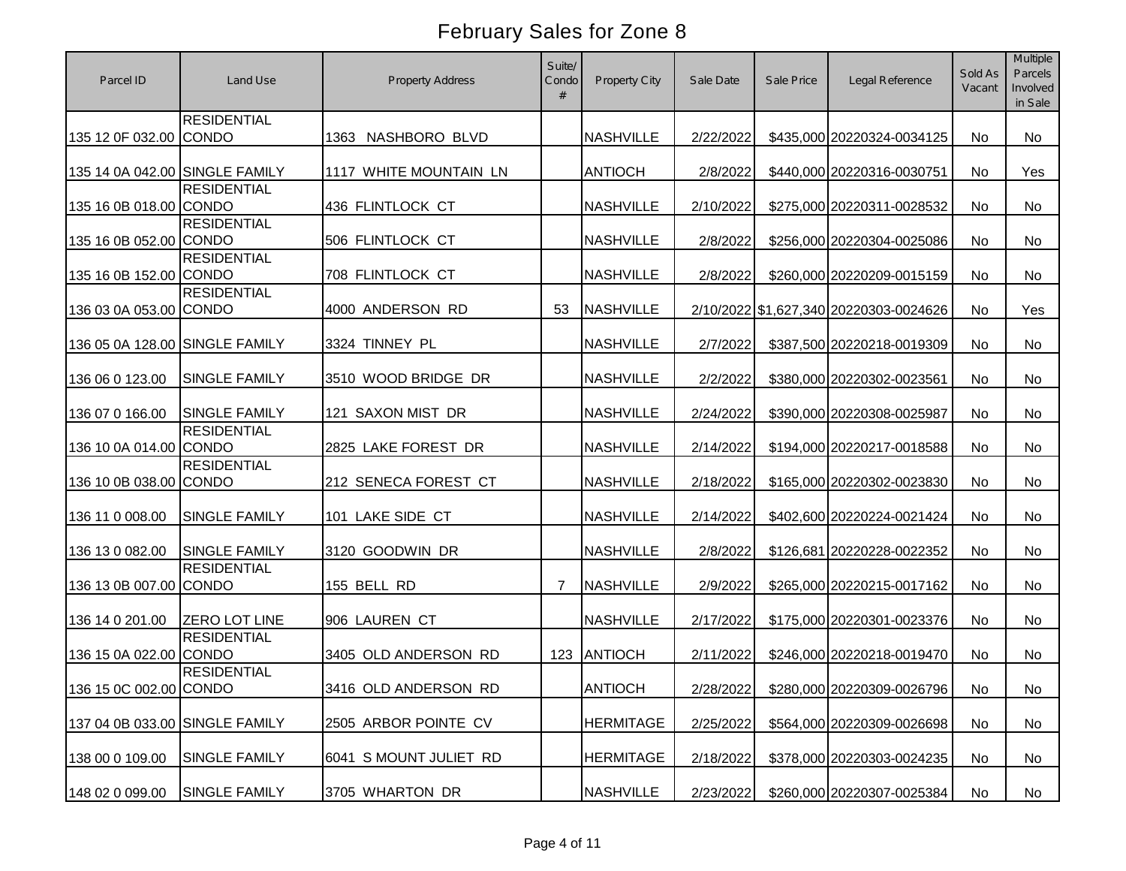| Parcel ID                      | Land Use             | <b>Property Address</b> | Suite/<br>Condo<br># | Property City    | Sale Date | Sale Price | Legal Reference                        | Sold As<br>Vacant | Multiple<br>Parcels<br>Involved<br>in Sale |
|--------------------------------|----------------------|-------------------------|----------------------|------------------|-----------|------------|----------------------------------------|-------------------|--------------------------------------------|
| 135 12 0F 032.00 CONDO         | <b>RESIDENTIAL</b>   | 1363<br>NASHBORO BLVD   |                      | <b>NASHVILLE</b> | 2/22/2022 |            | \$435,000 20220324-0034125             | No                | No                                         |
| 135 14 0A 042.00 SINGLE FAMILY |                      | 1117 WHITE MOUNTAIN LN  |                      | <b>ANTIOCH</b>   | 2/8/2022  |            | \$440,000 20220316-0030751             | <b>No</b>         | Yes                                        |
| 135 16 0B 018.00 CONDO         | <b>RESIDENTIAL</b>   | 436 FLINTLOCK CT        |                      | <b>NASHVILLE</b> | 2/10/2022 |            | \$275,000 20220311-0028532             | No                | No                                         |
| 135 16 0B 052.00 CONDO         | <b>RESIDENTIAL</b>   | 506 FLINTLOCK CT        |                      | <b>NASHVILLE</b> | 2/8/2022  |            | \$256,000 20220304-0025086             | No                | No                                         |
| 135 16 0B 152.00 CONDO         | <b>RESIDENTIAL</b>   | 708 FLINTLOCK CT        |                      | <b>NASHVILLE</b> | 2/8/2022  |            | \$260,000 20220209-0015159             | No                | No                                         |
| 136 03 0A 053.00 CONDO         | <b>RESIDENTIAL</b>   | 4000 ANDERSON RD        | 53                   | <b>NASHVILLE</b> |           |            | 2/10/2022 \$1,627,340 20220303-0024626 | <b>No</b>         | Yes                                        |
| 136 05 0A 128.00 SINGLE FAMILY |                      | 3324 TINNEY PL          |                      | <b>NASHVILLE</b> | 2/7/2022  |            | \$387,500 20220218-0019309             | No                | No                                         |
| 136 06 0 123.00                | <b>SINGLE FAMILY</b> | 3510 WOOD BRIDGE DR     |                      | <b>NASHVILLE</b> | 2/2/2022  |            | \$380,000 20220302-0023561             | No                | <b>No</b>                                  |
| 136 07 0 166.00                | <b>SINGLE FAMILY</b> | 121 SAXON MIST DR       |                      | <b>NASHVILLE</b> | 2/24/2022 |            | \$390,000 20220308-0025987             | No                | <b>No</b>                                  |
| 136 10 0A 014.00 CONDO         | <b>RESIDENTIAL</b>   | 2825 LAKE FOREST DR     |                      | <b>NASHVILLE</b> | 2/14/2022 |            | \$194,000 20220217-0018588             | No                | No                                         |
| 136 10 0B 038.00 CONDO         | <b>RESIDENTIAL</b>   | 212 SENECA FOREST CT    |                      | <b>NASHVILLE</b> | 2/18/2022 |            | \$165,000 20220302-0023830             | No                | No                                         |
| 136 11 0 008.00                | SINGLE FAMILY        | 101 LAKE SIDE CT        |                      | <b>NASHVILLE</b> | 2/14/2022 |            | \$402,600 20220224-0021424             | <b>No</b>         | <b>No</b>                                  |
| 136 13 0 082.00                | <b>SINGLE FAMILY</b> | 3120 GOODWIN DR         |                      | <b>NASHVILLE</b> | 2/8/2022  |            | \$126,681 20220228-0022352             | No                | No                                         |
| 136 13 0B 007.00 CONDO         | <b>RESIDENTIAL</b>   | 155 BELL RD             | 7                    | <b>NASHVILLE</b> | 2/9/2022  |            | \$265,000 20220215-0017162             | No                | <b>No</b>                                  |
| 136 14 0 201.00                | <b>ZERO LOT LINE</b> | 906 LAUREN CT           |                      | <b>NASHVILLE</b> | 2/17/2022 |            | \$175,000 20220301-0023376             | No.               | No                                         |
| 136 15 0A 022.00 CONDO         | <b>RESIDENTIAL</b>   | 3405 OLD ANDERSON RD    | 123                  | ANTIOCH          | 2/11/2022 |            | \$246,000 20220218-0019470             | <b>No</b>         | No                                         |
| 136 15 0C 002.00 CONDO         | <b>RESIDENTIAL</b>   | 3416 OLD ANDERSON RD    |                      | <b>ANTIOCH</b>   | 2/28/2022 |            | \$280,000 20220309-0026796             | No                | No                                         |
| 137 04 0B 033.00 SINGLE FAMILY |                      | 2505 ARBOR POINTE CV    |                      | <b>HERMITAGE</b> | 2/25/2022 |            | \$564,000 20220309-0026698             | No                | No                                         |
| 138 00 0 109.00                | <b>SINGLE FAMILY</b> | 6041 S MOUNT JULIET RD  |                      | <b>HERMITAGE</b> | 2/18/2022 |            | \$378,000 20220303-0024235             | No                | No                                         |
| 148 02 0 099.00                | <b>SINGLE FAMILY</b> | 3705 WHARTON DR         |                      | <b>NASHVILLE</b> | 2/23/2022 |            | \$260,000 20220307-0025384             | No                | No                                         |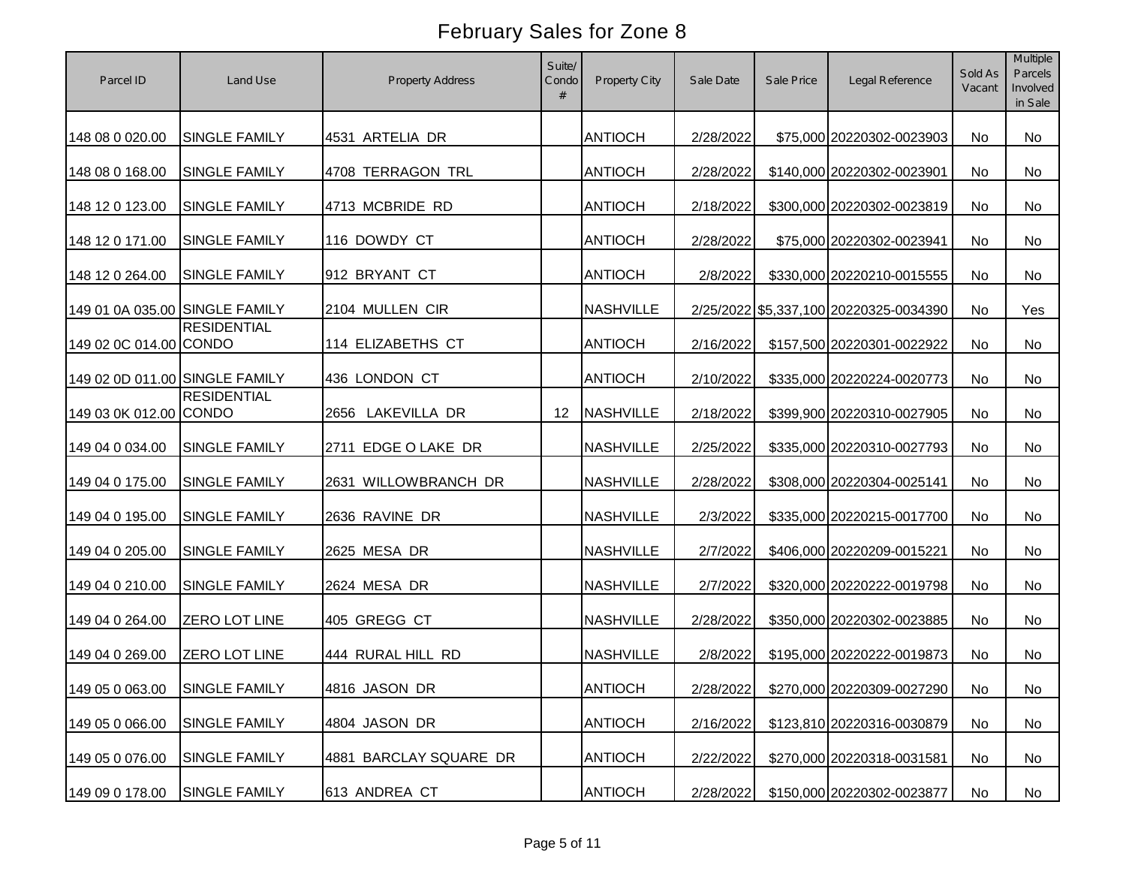| Parcel ID                      | Land Use             | <b>Property Address</b> | Suite/<br>Condo<br># | Property City    | Sale Date | Sale Price | Legal Reference                        | Sold As<br>Vacant | Multiple<br>Parcels<br>Involved<br>in Sale |
|--------------------------------|----------------------|-------------------------|----------------------|------------------|-----------|------------|----------------------------------------|-------------------|--------------------------------------------|
| 148 08 0 020.00                | <b>SINGLE FAMILY</b> | 4531 ARTELIA DR         |                      | <b>ANTIOCH</b>   | 2/28/2022 |            | \$75,000 20220302-0023903              | No                | No                                         |
| 148 08 0 168.00                | SINGLE FAMILY        | 4708 TERRAGON TRL       |                      | <b>ANTIOCH</b>   | 2/28/2022 |            | \$140,000 20220302-0023901             | No                | No                                         |
| 148 12 0 123.00                | <b>SINGLE FAMILY</b> | 4713 MCBRIDE RD         |                      | <b>ANTIOCH</b>   | 2/18/2022 |            | \$300,000 20220302-0023819             | No                | No                                         |
| 148 12 0 171.00                | <b>SINGLE FAMILY</b> | 116 DOWDY CT            |                      | <b>ANTIOCH</b>   | 2/28/2022 |            | \$75,000 20220302-0023941              | No                | No                                         |
| 148 12 0 264.00                | SINGLE FAMILY        | 912 BRYANT CT           |                      | <b>ANTIOCH</b>   | 2/8/2022  |            | \$330,000 20220210-0015555             | No                | No                                         |
| 149 01 0A 035.00 SINGLE FAMILY |                      | 2104 MULLEN CIR         |                      | <b>NASHVILLE</b> |           |            | 2/25/2022 \$5,337,100 20220325-0034390 | No                | Yes                                        |
| 149 02 0C 014.00 CONDO         | <b>RESIDENTIAL</b>   | 114 ELIZABETHS CT       |                      | <b>ANTIOCH</b>   | 2/16/2022 |            | \$157,500 20220301-0022922             | No                | No                                         |
| 149 02 0D 011.00 SINGLE FAMILY |                      | 436 LONDON CT           |                      | <b>ANTIOCH</b>   | 2/10/2022 |            | \$335,000 20220224-0020773             | No                | No                                         |
| 149 03 0K 012.00 CONDO         | <b>RESIDENTIAL</b>   | 2656 LAKEVILLA DR       | 12                   | <b>NASHVILLE</b> | 2/18/2022 |            | \$399,900 20220310-0027905             | No                | No                                         |
| 149 04 0 034.00                | <b>SINGLE FAMILY</b> | 2711 EDGE O LAKE DR     |                      | <b>NASHVILLE</b> | 2/25/2022 |            | \$335,000 20220310-0027793             | No                | No                                         |
| 149 04 0 175.00                | <b>SINGLE FAMILY</b> | 2631 WILLOWBRANCH DR    |                      | <b>NASHVILLE</b> | 2/28/2022 |            | \$308,000 20220304-0025141             | No                | No                                         |
| 149 04 0 195.00                | <b>SINGLE FAMILY</b> | 2636 RAVINE DR          |                      | <b>NASHVILLE</b> | 2/3/2022  |            | \$335,000 20220215-0017700             | <b>No</b>         | <b>No</b>                                  |
| 149 04 0 205.00                | <b>SINGLE FAMILY</b> | 2625 MESA DR            |                      | <b>NASHVILLE</b> | 2/7/2022  |            | \$406,000 20220209-0015221             | No                | No                                         |
| 149 04 0 210.00                | <b>SINGLE FAMILY</b> | 2624 MESA DR            |                      | <b>NASHVILLE</b> | 2/7/2022  |            | \$320,000 20220222-0019798             | <b>No</b>         | No                                         |
| 149 04 0 264.00                | <b>ZERO LOT LINE</b> | 405 GREGG CT            |                      | <b>NASHVILLE</b> | 2/28/2022 |            | \$350,000 20220302-0023885             | <b>No</b>         | No                                         |
| 149 04 0 269.00                | <b>ZERO LOT LINE</b> | 444 RURAL HILL RD       |                      | <b>NASHVILLE</b> | 2/8/2022  |            | \$195,000 20220222-0019873             | No                | No                                         |
| 149 05 0 063.00 SINGLE FAMILY  |                      | 4816 JASON DR           |                      | <b>ANTIOCH</b>   | 2/28/2022 |            | \$270,000 20220309-0027290             | No                | No                                         |
| 149 05 0 066.00                | <b>SINGLE FAMILY</b> | 4804 JASON DR           |                      | <b>ANTIOCH</b>   | 2/16/2022 |            | \$123,810 20220316-0030879             | No                | No                                         |
| 149 05 0 076.00                | <b>SINGLE FAMILY</b> | 4881 BARCLAY SQUARE DR  |                      | <b>ANTIOCH</b>   | 2/22/2022 |            | \$270,000 20220318-0031581             | No                | No                                         |
| 149 09 0 178.00                | <b>SINGLE FAMILY</b> | 613 ANDREA CT           |                      | <b>ANTIOCH</b>   | 2/28/2022 |            | \$150,000 20220302-0023877             | No                | No                                         |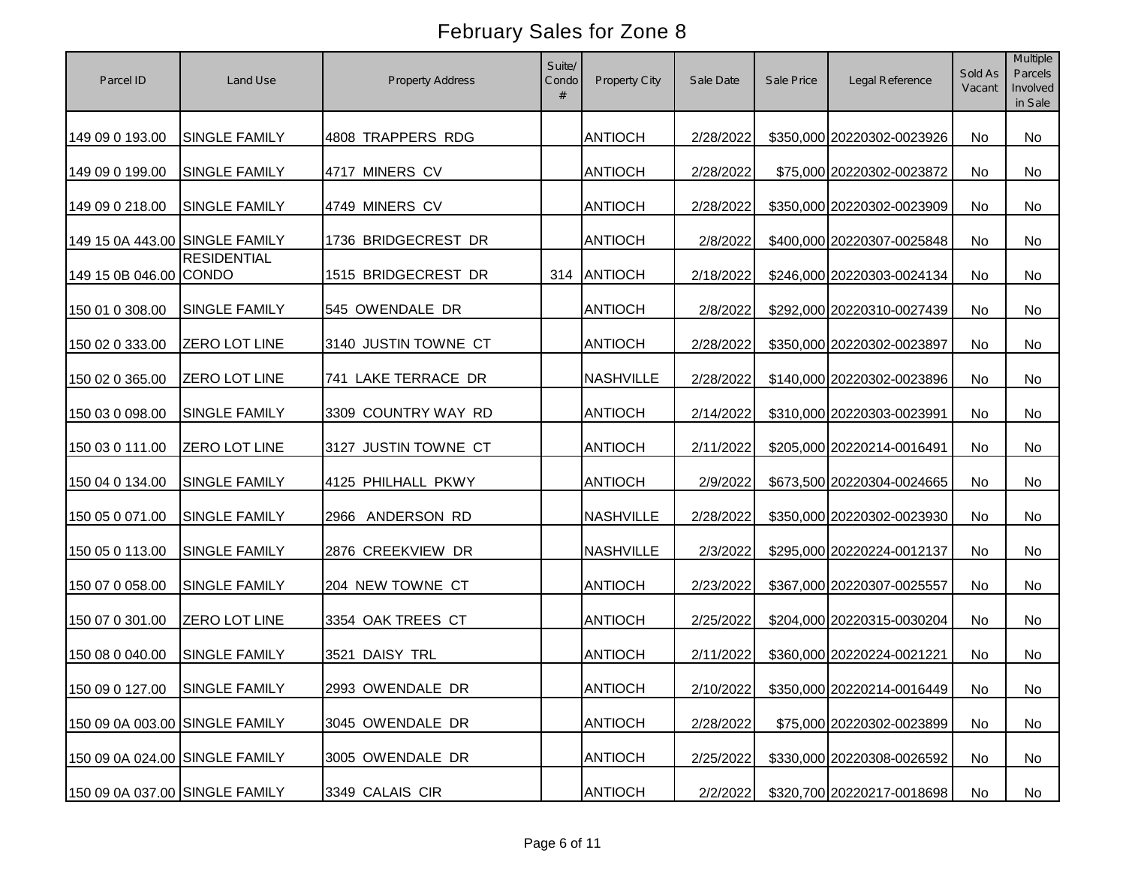| Parcel ID                      | Land Use                      | <b>Property Address</b> | Suite/<br>Condo<br># | Property City    | Sale Date | Sale Price | Legal Reference            | Sold As<br>Vacant | Multiple<br>Parcels<br>Involved<br>in Sale |
|--------------------------------|-------------------------------|-------------------------|----------------------|------------------|-----------|------------|----------------------------|-------------------|--------------------------------------------|
| 149 09 0 193.00                | <b>SINGLE FAMILY</b>          | 4808 TRAPPERS RDG       |                      | <b>ANTIOCH</b>   | 2/28/2022 |            | \$350,000 20220302-0023926 | No                | No                                         |
| 149 09 0 199.00                | SINGLE FAMILY                 | 4717 MINERS CV          |                      | <b>ANTIOCH</b>   | 2/28/2022 |            | \$75,000 20220302-0023872  | No                | No                                         |
| 149 09 0 218.00                | <b>SINGLE FAMILY</b>          | 4749 MINERS CV          |                      | <b>ANTIOCH</b>   | 2/28/2022 |            | \$350,000 20220302-0023909 | No                | No                                         |
| 149 15 0A 443.00 SINGLE FAMILY |                               | 1736 BRIDGECREST DR     |                      | <b>ANTIOCH</b>   | 2/8/2022  |            | \$400,000 20220307-0025848 | No                | No                                         |
| 149 15 0B 046.00 CONDO         | <b>RESIDENTIAL</b>            | 1515 BRIDGECREST DR     | 314                  | ANTIOCH          | 2/18/2022 |            | \$246,000 20220303-0024134 | No                | No                                         |
| 150 01 0 308.00                | SINGLE FAMILY                 | 545 OWENDALE DR         |                      | <b>ANTIOCH</b>   | 2/8/2022  |            | \$292,000 20220310-0027439 | No                | No                                         |
| 150 02 0 333.00                | <b>ZERO LOT LINE</b>          | 3140 JUSTIN TOWNE CT    |                      | <b>ANTIOCH</b>   | 2/28/2022 |            | \$350,000 20220302-0023897 | No                | No                                         |
| 150 02 0 365.00                | ZERO LOT LINE                 | 741 LAKE TERRACE DR     |                      | <b>NASHVILLE</b> | 2/28/2022 |            | \$140,000 20220302-0023896 | No                | No                                         |
| 150 03 0 098.00                | <b>SINGLE FAMILY</b>          | 3309 COUNTRY WAY RD     |                      | <b>ANTIOCH</b>   | 2/14/2022 |            | \$310,000 20220303-0023991 | No                | No                                         |
| 150 03 0 111.00                | <b>ZERO LOT LINE</b>          | 3127 JUSTIN TOWNE CT    |                      | <b>ANTIOCH</b>   | 2/11/2022 |            | \$205,000 20220214-0016491 | No                | No                                         |
| 150 04 0 134.00                | <b>SINGLE FAMILY</b>          | 4125 PHILHALL PKWY      |                      | <b>ANTIOCH</b>   | 2/9/2022  |            | \$673,500 20220304-0024665 | No                | No                                         |
| 150 05 0 071.00                | <b>SINGLE FAMILY</b>          | 2966 ANDERSON RD        |                      | <b>NASHVILLE</b> | 2/28/2022 |            | \$350,000 20220302-0023930 | <b>No</b>         | <b>No</b>                                  |
| 150 05 0 113.00                | <b>SINGLE FAMILY</b>          | 2876 CREEKVIEW DR       |                      | <b>NASHVILLE</b> | 2/3/2022  |            | \$295,000 20220224-0012137 | No                | No                                         |
| 150 07 0 058.00                | SINGLE FAMILY                 | 204 NEW TOWNE CT        |                      | <b>ANTIOCH</b>   | 2/23/2022 |            | \$367,000 20220307-0025557 | <b>No</b>         | No                                         |
| 150 07 0 301.00                | <b>ZERO LOT LINE</b>          | 3354 OAK TREES CT       |                      | <b>ANTIOCH</b>   | 2/25/2022 |            | \$204,000 20220315-0030204 | <b>No</b>         | No                                         |
| 150 08 0 040.00                | <b>SINGLE FAMILY</b>          | 3521 DAISY TRL          |                      | <b>ANTIOCH</b>   | 2/11/2022 |            | \$360,000 20220224-0021221 | <b>No</b>         | No                                         |
|                                | 150 09 0 127.00 SINGLE FAMILY | 2993 OWENDALE DR        |                      | <b>ANTIOCH</b>   | 2/10/2022 |            | \$350,000 20220214-0016449 | No                | No                                         |
| 150 09 0A 003.00 SINGLE FAMILY |                               | 3045 OWENDALE DR        |                      | <b>ANTIOCH</b>   | 2/28/2022 |            | \$75,000 20220302-0023899  | No                | No                                         |
| 150 09 0A 024.00 SINGLE FAMILY |                               | 3005 OWENDALE DR        |                      | <b>ANTIOCH</b>   | 2/25/2022 |            | \$330,000 20220308-0026592 | No                | No                                         |
| 150 09 0A 037.00 SINGLE FAMILY |                               | 3349 CALAIS CIR         |                      | <b>ANTIOCH</b>   | 2/2/2022  |            | \$320,700 20220217-0018698 | No                | No                                         |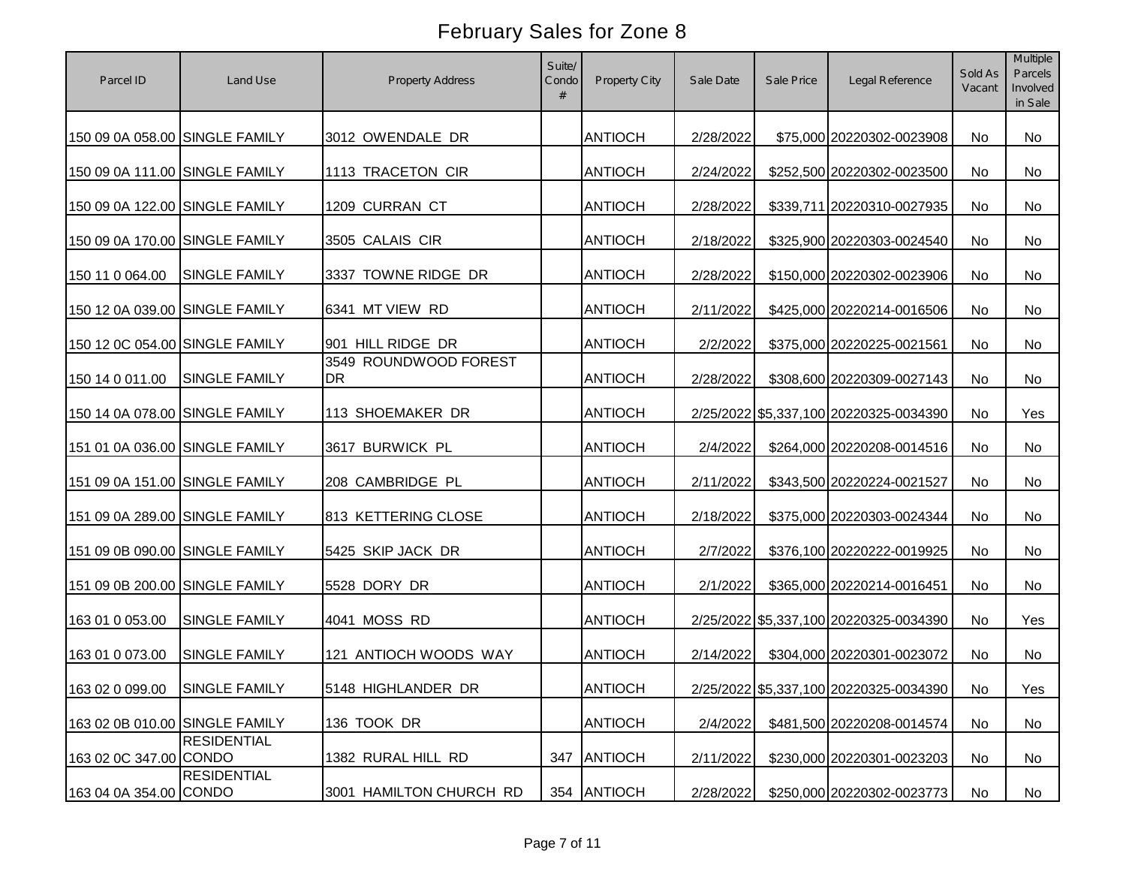| Parcel ID                      | Land Use             | <b>Property Address</b>     | Suite/<br>Condo<br># | Property City  | Sale Date | Sale Price | Legal Reference                        | Sold As<br>Vacant | Multiple<br>Parcels<br>Involved<br>in Sale |
|--------------------------------|----------------------|-----------------------------|----------------------|----------------|-----------|------------|----------------------------------------|-------------------|--------------------------------------------|
| 150 09 0A 058.00 SINGLE FAMILY |                      | 3012 OWENDALE DR            |                      | <b>ANTIOCH</b> | 2/28/2022 |            | \$75,000 20220302-0023908              | No                | No                                         |
| 150 09 0A 111.00 SINGLE FAMILY |                      | 1113 TRACETON CIR           |                      | <b>ANTIOCH</b> | 2/24/2022 |            | \$252,500 20220302-0023500             | <b>No</b>         | <b>No</b>                                  |
| 150 09 0A 122.00 SINGLE FAMILY |                      | 1209 CURRAN CT              |                      | <b>ANTIOCH</b> | 2/28/2022 |            | \$339,711 20220310-0027935             | No                | <b>No</b>                                  |
| 150 09 0A 170.00 SINGLE FAMILY |                      | 3505 CALAIS CIR             |                      | <b>ANTIOCH</b> | 2/18/2022 |            | \$325,900 20220303-0024540             | No                | No                                         |
| 150 11 0 064.00                | <b>SINGLE FAMILY</b> | 3337 TOWNE RIDGE DR         |                      | <b>ANTIOCH</b> | 2/28/2022 |            | \$150,000 20220302-0023906             | No                | <b>No</b>                                  |
| 150 12 0A 039.00 SINGLE FAMILY |                      | 6341 MT VIEW RD             |                      | <b>ANTIOCH</b> | 2/11/2022 |            | \$425,000 20220214-0016506             | No.               | <b>No</b>                                  |
| 150 12 0C 054.00 SINGLE FAMILY |                      | 901 HILL RIDGE DR           |                      | <b>ANTIOCH</b> | 2/2/2022  |            | \$375,000 20220225-0021561             | No                | No                                         |
| 150 14 0 011.00                | <b>SINGLE FAMILY</b> | 3549 ROUNDWOOD FOREST<br>DR |                      | <b>ANTIOCH</b> | 2/28/2022 |            | \$308,600 20220309-0027143             | No                | No                                         |
| 150 14 0A 078.00 SINGLE FAMILY |                      | 113 SHOEMAKER DR            |                      | <b>ANTIOCH</b> |           |            | 2/25/2022 \$5,337,100 20220325-0034390 | <b>No</b>         | Yes                                        |
| 151 01 0A 036.00 SINGLE FAMILY |                      | 3617 BURWICK PL             |                      | <b>ANTIOCH</b> | 2/4/2022  |            | \$264,000 20220208-0014516             | No                | No                                         |
| 151 09 0A 151.00 SINGLE FAMILY |                      | 208 CAMBRIDGE PL            |                      | <b>ANTIOCH</b> | 2/11/2022 |            | \$343,500 20220224-0021527             | No                | No                                         |
| 151 09 0A 289.00 SINGLE FAMILY |                      | 813 KETTERING CLOSE         |                      | <b>ANTIOCH</b> | 2/18/2022 |            | \$375,000 20220303-0024344             | <b>No</b>         | <b>No</b>                                  |
| 151 09 0B 090.00 SINGLE FAMILY |                      | 5425 SKIP JACK DR           |                      | <b>ANTIOCH</b> | 2/7/2022  |            | \$376,100 20220222-0019925             | No                | No                                         |
| 151 09 0B 200.00 SINGLE FAMILY |                      | 5528 DORY DR                |                      | <b>ANTIOCH</b> | 2/1/2022  |            | \$365,000 20220214-0016451             | <b>No</b>         | No                                         |
| 163 01 0 053.00                | <b>SINGLE FAMILY</b> | 4041 MOSS RD                |                      | <b>ANTIOCH</b> |           |            | 2/25/2022 \$5,337,100 20220325-0034390 | No.               | Yes                                        |
| 163 01 0 073.00                | <b>SINGLE FAMILY</b> | 121 ANTIOCH WOODS WAY       |                      | <b>ANTIOCH</b> | 2/14/2022 |            | \$304,000 20220301-0023072             | No                | No                                         |
| 163 02 0 099.00                | SINGLE FAMILY        | 5148 HIGHLANDER DR          |                      | <b>ANTIOCH</b> |           |            | 2/25/2022 \$5,337,100 20220325-0034390 | No                | Yes                                        |
| 163 02 0B 010.00 SINGLE FAMILY |                      | 136 TOOK DR                 |                      | <b>ANTIOCH</b> | 2/4/2022  |            | \$481,500 20220208-0014574             | No                | No                                         |
| 163 02 0C 347.00 CONDO         | <b>RESIDENTIAL</b>   | 1382 RURAL HILL RD          | 347                  | <b>ANTIOCH</b> | 2/11/2022 |            | \$230,000 20220301-0023203             | No                | No                                         |
| 163 04 0A 354.00 CONDO         | <b>RESIDENTIAL</b>   | 3001 HAMILTON CHURCH RD     |                      | 354 ANTIOCH    | 2/28/2022 |            | \$250,000 20220302-0023773             | No                | No                                         |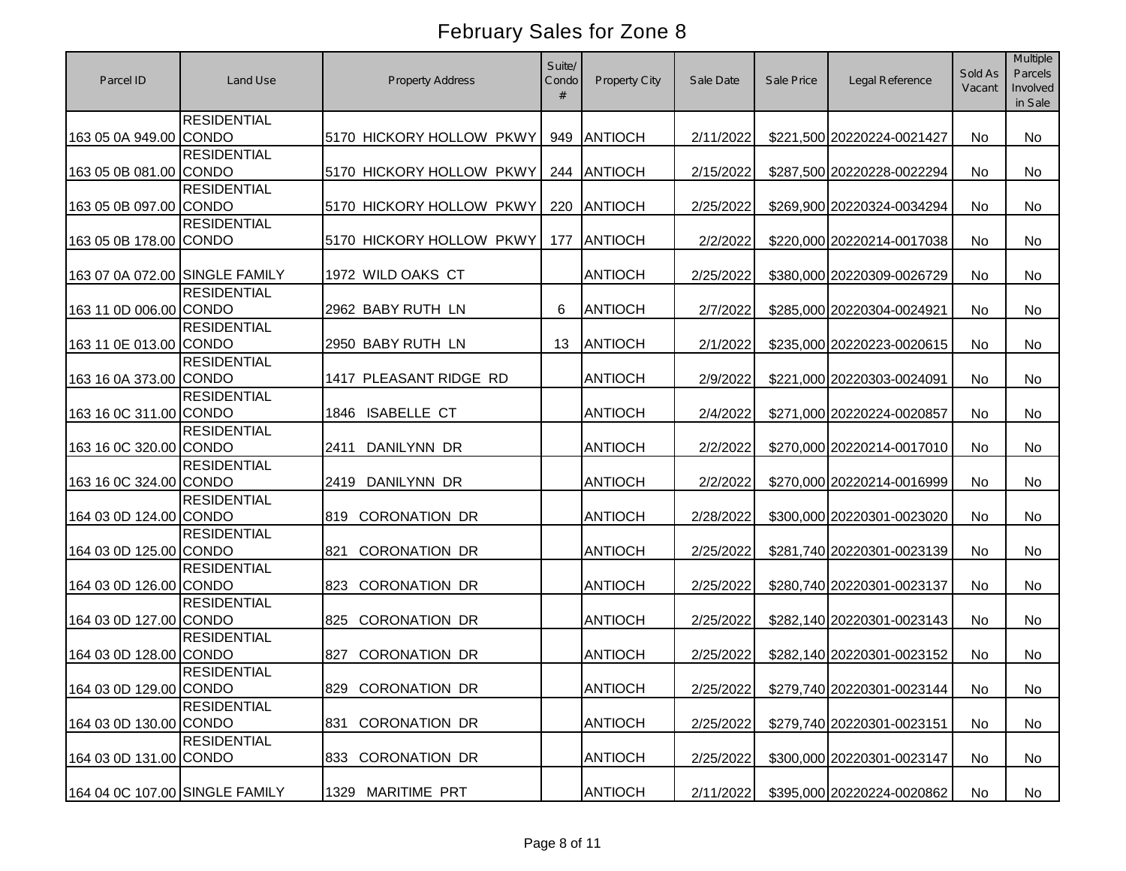| Parcel ID                      | Land Use           | <b>Property Address</b>     | Suite/<br>Condo<br># | Property City  | Sale Date | Sale Price | Legal Reference            | Sold As<br>Vacant | Multiple<br>Parcels<br>Involved<br>in Sale |
|--------------------------------|--------------------|-----------------------------|----------------------|----------------|-----------|------------|----------------------------|-------------------|--------------------------------------------|
| 163 05 0A 949.00 CONDO         | <b>RESIDENTIAL</b> | 5170 HICKORY HOLLOW PKWY    | 949                  | ANTIOCH        | 2/11/2022 |            | \$221,500 20220224-0021427 | No                | <b>No</b>                                  |
| 163 05 0B 081.00 CONDO         | <b>RESIDENTIAL</b> | 5170 HICKORY HOLLOW PKWY    | 244                  | ANTIOCH        | 2/15/2022 |            | \$287,500 20220228-0022294 | No                | <b>No</b>                                  |
| 163 05 0B 097.00 CONDO         | <b>RESIDENTIAL</b> | 5170 HICKORY HOLLOW PKWY    | 220                  | ANTIOCH        | 2/25/2022 |            | \$269,900 20220324-0034294 | No                | <b>No</b>                                  |
| 163 05 0B 178.00 CONDO         | <b>RESIDENTIAL</b> | 5170 HICKORY HOLLOW PKWY    | 177                  | <b>ANTIOCH</b> | 2/2/2022  |            | \$220,000 20220214-0017038 | No                | No                                         |
| 163 07 0A 072.00 SINGLE FAMILY |                    | 1972 WILD OAKS CT           |                      | <b>ANTIOCH</b> | 2/25/2022 |            | \$380,000 20220309-0026729 | No                | <b>No</b>                                  |
| 163 11 0D 006.00 CONDO         | <b>RESIDENTIAL</b> | 2962 BABY RUTH LN           | 6                    | <b>ANTIOCH</b> | 2/7/2022  |            | \$285,000 20220304-0024921 | No                | No                                         |
| 163 11 0E 013.00 CONDO         | <b>RESIDENTIAL</b> | 2950 BABY RUTH LN           | 13                   | <b>ANTIOCH</b> | 2/1/2022  |            | \$235,000 20220223-0020615 | No                | <b>No</b>                                  |
| 163 16 0A 373.00 CONDO         | <b>RESIDENTIAL</b> | 1417 PLEASANT RIDGE RD      |                      | <b>ANTIOCH</b> | 2/9/2022  |            | \$221,000 20220303-0024091 | No                | No                                         |
| 163 16 0C 311.00 CONDO         | <b>RESIDENTIAL</b> | <b>ISABELLE CT</b><br>1846  |                      | <b>ANTIOCH</b> | 2/4/2022  |            | \$271,000 20220224-0020857 | No                | No                                         |
| 163 16 0C 320.00 CONDO         | <b>RESIDENTIAL</b> | <b>DANILYNN DR</b><br>2411  |                      | <b>ANTIOCH</b> | 2/2/2022  |            | \$270,000 20220214-0017010 | <b>No</b>         | <b>No</b>                                  |
| 163 16 0C 324.00 CONDO         | <b>RESIDENTIAL</b> | DANILYNN DR<br>2419         |                      | <b>ANTIOCH</b> | 2/2/2022  |            | \$270,000 20220214-0016999 | No                | <b>No</b>                                  |
| 164 03 0D 124.00 CONDO         | <b>RESIDENTIAL</b> | <b>CORONATION DR</b><br>819 |                      | <b>ANTIOCH</b> | 2/28/2022 |            | \$300,000 20220301-0023020 | <b>No</b>         | <b>No</b>                                  |
| 164 03 0D 125.00 CONDO         | <b>RESIDENTIAL</b> | <b>CORONATION DR</b><br>821 |                      | <b>ANTIOCH</b> | 2/25/2022 |            | \$281,740 20220301-0023139 | <b>No</b>         | <b>No</b>                                  |
| 164 03 0D 126.00 CONDO         | <b>RESIDENTIAL</b> | <b>CORONATION DR</b><br>823 |                      | <b>ANTIOCH</b> | 2/25/2022 |            | \$280,740 20220301-0023137 | No                | No                                         |
| 164 03 0D 127.00 CONDO         | <b>RESIDENTIAL</b> | <b>CORONATION DR</b><br>825 |                      | <b>ANTIOCH</b> | 2/25/2022 |            | \$282,140 20220301-0023143 | No                | No                                         |
| 164 03 0D 128.00 CONDO         | <b>RESIDENTIAL</b> | <b>CORONATION DR</b><br>827 |                      | <b>ANTIOCH</b> | 2/25/2022 |            | \$282,140 20220301-0023152 | <b>No</b>         | No                                         |
| 164 03 0D 129.00 CONDO         | <b>RESIDENTIAL</b> | 829 CORONATION DR           |                      | <b>ANTIOCH</b> | 2/25/2022 |            | \$279,740 20220301-0023144 | No                | No                                         |
| 164 03 0D 130.00 CONDO         | <b>RESIDENTIAL</b> | <b>CORONATION DR</b><br>831 |                      | <b>ANTIOCH</b> | 2/25/2022 |            | \$279,740 20220301-0023151 | No                | No                                         |
| 164 03 0D 131.00 CONDO         | <b>RESIDENTIAL</b> | 833 CORONATION DR           |                      | <b>ANTIOCH</b> | 2/25/2022 |            | \$300,000 20220301-0023147 | No                | No                                         |
| 164 04 0C 107.00 SINGLE FAMILY |                    | 1329 MARITIME PRT           |                      | <b>ANTIOCH</b> | 2/11/2022 |            | \$395,000 20220224-0020862 | No                | No                                         |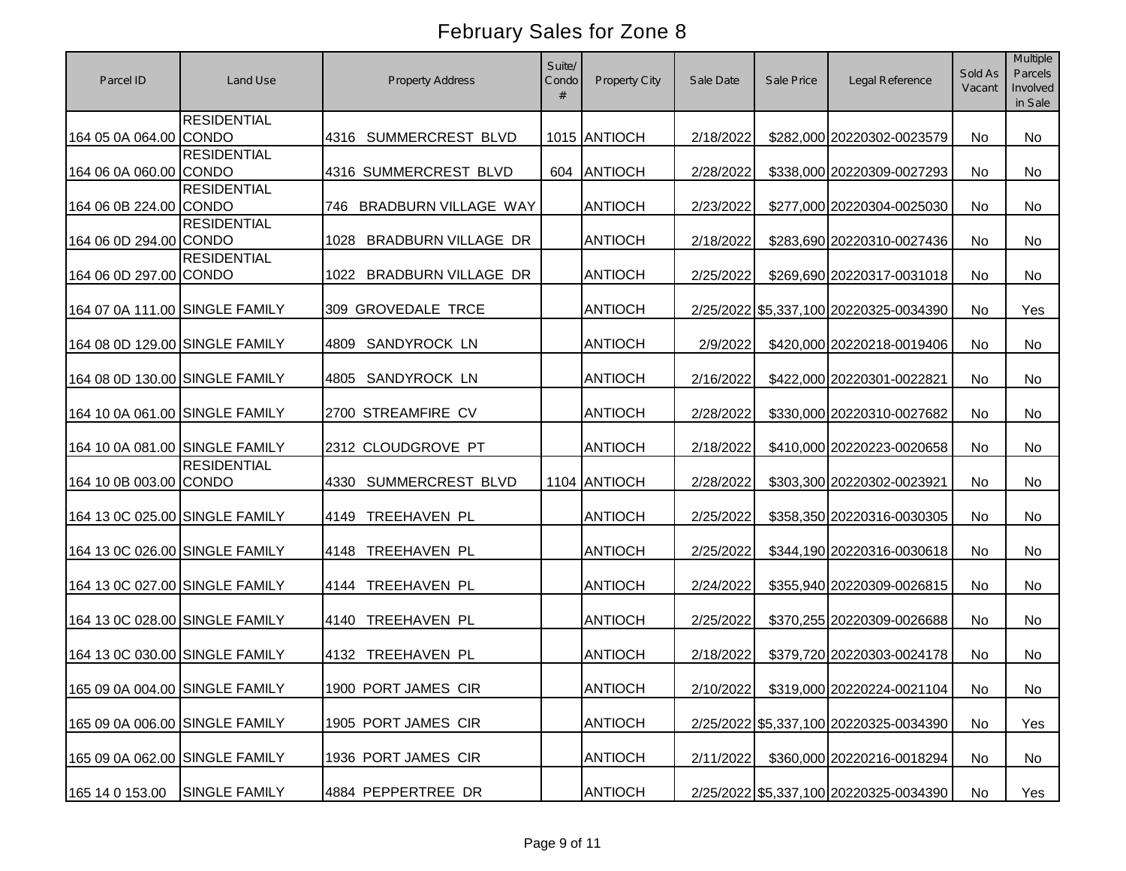| Parcel ID                      | Land Use           | <b>Property Address</b>            | Suite/<br>Condo<br># | Property City  | Sale Date | Sale Price | Legal Reference                        | Sold As<br>Vacant | Multiple<br>Parcels<br>Involved<br>in Sale |
|--------------------------------|--------------------|------------------------------------|----------------------|----------------|-----------|------------|----------------------------------------|-------------------|--------------------------------------------|
| 164 05 0A 064.00 CONDO         | <b>RESIDENTIAL</b> | 4316 SUMMERCREST BLVD              |                      | 1015 ANTIOCH   | 2/18/2022 |            | \$282,000 20220302-0023579             | <b>No</b>         | <b>No</b>                                  |
| 164 06 0A 060.00 CONDO         | <b>RESIDENTIAL</b> | 4316 SUMMERCREST BLVD              | 604                  | ANTIOCH        | 2/28/2022 |            | \$338,000 20220309-0027293             | No                | No                                         |
| 164 06 0B 224.00 CONDO         | <b>RESIDENTIAL</b> | 746 BRADBURN VILLAGE WAY           |                      | <b>ANTIOCH</b> | 2/23/2022 |            | \$277,000 20220304-0025030             | No                | No                                         |
| 164 06 0D 294.00 CONDO         | <b>RESIDENTIAL</b> | <b>BRADBURN VILLAGE DR</b><br>1028 |                      | <b>ANTIOCH</b> | 2/18/2022 |            | \$283,690 20220310-0027436             | No                | <b>No</b>                                  |
| 164 06 0D 297.00 CONDO         | <b>RESIDENTIAL</b> | <b>BRADBURN VILLAGE DR</b><br>1022 |                      | <b>ANTIOCH</b> | 2/25/2022 |            | \$269,690 20220317-0031018             | No                | No                                         |
| 164 07 0A 111.00 SINGLE FAMILY |                    | 309 GROVEDALE TRCE                 |                      | <b>ANTIOCH</b> |           |            | 2/25/2022 \$5,337,100 20220325-0034390 | No                | Yes                                        |
| 164 08 0D 129.00 SINGLE FAMILY |                    | SANDYROCK LN<br>4809               |                      | <b>ANTIOCH</b> | 2/9/2022  |            | \$420,000 20220218-0019406             | No                | <b>No</b>                                  |
| 164 08 0D 130.00 SINGLE FAMILY |                    | SANDYROCK LN<br>4805               |                      | <b>ANTIOCH</b> | 2/16/2022 |            | \$422,000 20220301-0022821             | No                | No                                         |
| 164 10 0A 061.00 SINGLE FAMILY |                    | 2700 STREAMFIRE CV                 |                      | <b>ANTIOCH</b> | 2/28/2022 |            | \$330,000 20220310-0027682             | No                | No                                         |
| 164 10 0A 081.00 SINGLE FAMILY |                    | 2312 CLOUDGROVE PT                 |                      | <b>ANTIOCH</b> | 2/18/2022 |            | \$410,000 20220223-0020658             | No                | <b>No</b>                                  |
| 164 10 0B 003.00 CONDO         | <b>RESIDENTIAL</b> | SUMMERCREST BLVD<br>4330           |                      | 1104 ANTIOCH   | 2/28/2022 |            | \$303,300 20220302-0023921             | No                | No                                         |
| 164 13 0C 025.00 SINGLE FAMILY |                    | TREEHAVEN PL<br>4149               |                      | <b>ANTIOCH</b> | 2/25/2022 |            | \$358,350 20220316-0030305             | No                | No                                         |
| 164 13 0C 026.00 SINGLE FAMILY |                    | TREEHAVEN PL<br>4148               |                      | <b>ANTIOCH</b> | 2/25/2022 |            | \$344,190 20220316-0030618             | <b>No</b>         | <b>No</b>                                  |
| 164 13 0C 027.00 SINGLE FAMILY |                    | TREEHAVEN PL<br>4144               |                      | <b>ANTIOCH</b> | 2/24/2022 |            | \$355,940 20220309-0026815             | No                | No                                         |
| 164 13 0C 028.00 SINGLE FAMILY |                    | TREEHAVEN PL<br>4140               |                      | <b>ANTIOCH</b> | 2/25/2022 |            | \$370,255 20220309-0026688             | No                | No                                         |
| 164 13 0C 030.00 SINGLE FAMILY |                    | TREEHAVEN PL<br>4132               |                      | <b>ANTIOCH</b> | 2/18/2022 |            | \$379,720 20220303-0024178             | <b>No</b>         | No                                         |
| 165 09 0A 004.00 SINGLE FAMILY |                    | 1900 PORT JAMES CIR                |                      | <b>ANTIOCH</b> | 2/10/2022 |            | \$319,000 20220224-0021104             | No                | No                                         |
| 165 09 0A 006.00 SINGLE FAMILY |                    | 1905 PORT JAMES CIR                |                      | <b>ANTIOCH</b> |           |            | 2/25/2022 \$5,337,100 20220325-0034390 | No                | Yes                                        |
| 165 09 0A 062.00 SINGLE FAMILY |                    | 1936 PORT JAMES CIR                |                      | <b>ANTIOCH</b> | 2/11/2022 |            | \$360,000 20220216-0018294             | No                | No                                         |
| 165 14 0 153.00                | SINGLE FAMILY      | 4884 PEPPERTREE DR                 |                      | <b>ANTIOCH</b> |           |            | 2/25/2022 \$5,337,100 20220325-0034390 | No                | Yes                                        |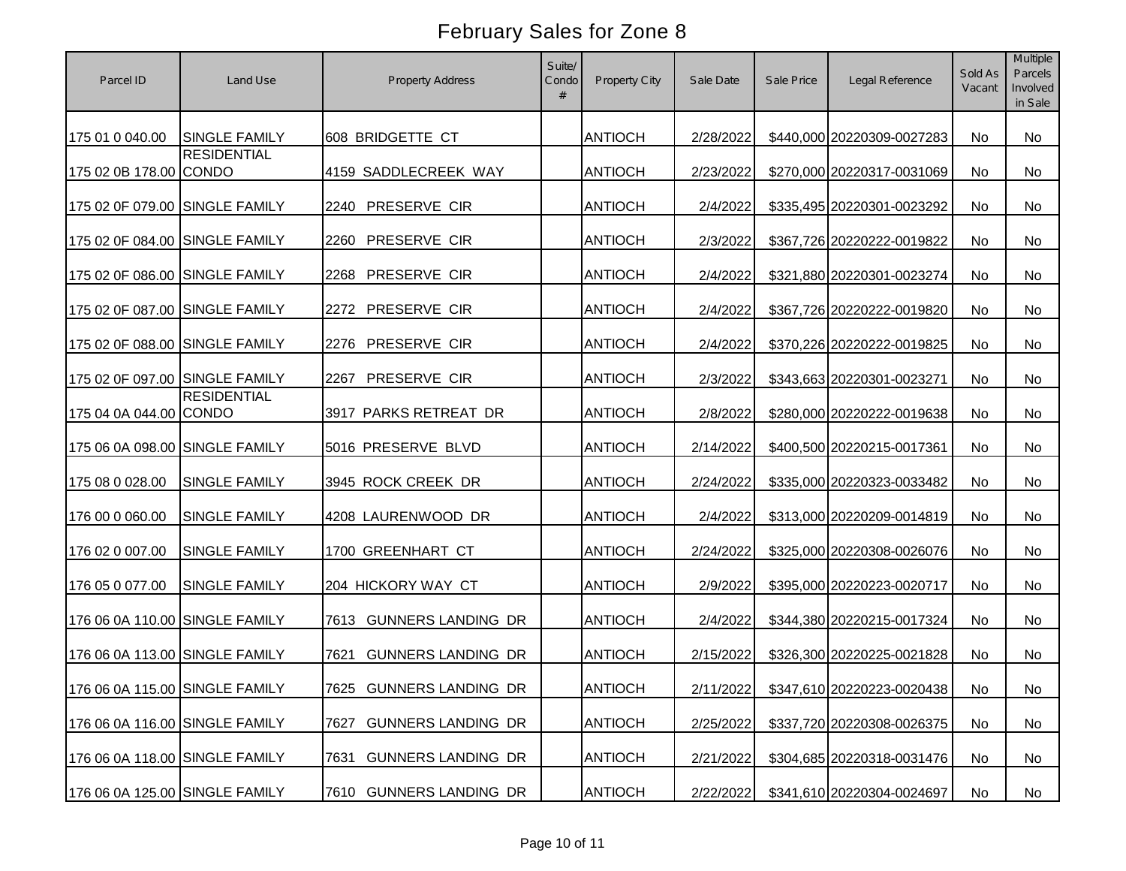| Parcel ID                      | Land Use                       | <b>Property Address</b>           | Suite/<br>Condo<br># | Property City  | Sale Date | Sale Price | Legal Reference                      | Sold As<br>Vacant | Multiple<br>Parcels<br>Involved<br>in Sale |
|--------------------------------|--------------------------------|-----------------------------------|----------------------|----------------|-----------|------------|--------------------------------------|-------------------|--------------------------------------------|
| 175 01 0 040.00                | <b>SINGLE FAMILY</b>           | 608 BRIDGETTE CT                  |                      | <b>ANTIOCH</b> | 2/28/2022 |            | \$440,000 20220309-0027283           | No                | No                                         |
| 175 02 0B 178.00 CONDO         | <b>RESIDENTIAL</b>             | 4159 SADDLECREEK WAY              |                      | <b>ANTIOCH</b> | 2/23/2022 |            | \$270,000 20220317-0031069           | <b>No</b>         | <b>No</b>                                  |
| 175 02 0F 079.00 SINGLE FAMILY |                                | PRESERVE CIR<br>2240              |                      | <b>ANTIOCH</b> | 2/4/2022  |            | \$335,495 20220301-0023292           | No                | <b>No</b>                                  |
| 175 02 0F 084.00 SINGLE FAMILY |                                | PRESERVE CIR<br>2260              |                      | <b>ANTIOCH</b> | 2/3/2022  |            | \$367,726 20220222-0019822           | No                | No                                         |
| 175 02 0F 086.00 SINGLE FAMILY |                                | PRESERVE CIR<br>2268              |                      | <b>ANTIOCH</b> | 2/4/2022  |            | \$321,880 20220301-0023274           | No                | <b>No</b>                                  |
| 175 02 0F 087.00 SINGLE FAMILY |                                | PRESERVE CIR<br>2272              |                      | <b>ANTIOCH</b> | 2/4/2022  |            | \$367,726 20220222-0019820           | No                | <b>No</b>                                  |
| 175 02 0F 088.00 SINGLE FAMILY |                                | PRESERVE CIR<br>2276              |                      | <b>ANTIOCH</b> | 2/4/2022  |            | \$370,226 20220222-0019825           | No                | No                                         |
| 175 02 0F 097.00 SINGLE FAMILY |                                | PRESERVE CIR<br>2267              |                      | <b>ANTIOCH</b> | 2/3/2022  |            | \$343,663 20220301-0023271           | No                | <b>No</b>                                  |
| 175 04 0A 044.00 CONDO         | <b>RESIDENTIAL</b>             | 3917 PARKS RETREAT DR             |                      | <b>ANTIOCH</b> | 2/8/2022  |            | \$280,000 20220222-0019638           | No                | No                                         |
| 175 06 0A 098.00 SINGLE FAMILY |                                | 5016 PRESERVE BLVD                |                      | <b>ANTIOCH</b> | 2/14/2022 |            | \$400,500 20220215-0017361           | No                | No                                         |
| 175 08 0 028.00                | <b>SINGLE FAMILY</b>           | 3945 ROCK CREEK DR                |                      | <b>ANTIOCH</b> | 2/24/2022 |            | \$335,000 20220323-0033482           | No                | No                                         |
| 176 00 0 060.00                | <b>SINGLE FAMILY</b>           | 4208 LAURENWOOD DR                |                      | <b>ANTIOCH</b> | 2/4/2022  |            | \$313,000 20220209-0014819           | <b>No</b>         | <b>No</b>                                  |
| 176 02 0 007.00                | <b>SINGLE FAMILY</b>           | 1700 GREENHART CT                 |                      | <b>ANTIOCH</b> | 2/24/2022 |            | \$325,000 20220308-0026076           | <b>No</b>         | No                                         |
| 176 05 0 077.00                | <b>SINGLE FAMILY</b>           | 204 HICKORY WAY CT                |                      | <b>ANTIOCH</b> | 2/9/2022  |            | \$395,000 20220223-0020717           | <b>No</b>         | <b>No</b>                                  |
| 176 06 0A 110.00 SINGLE FAMILY |                                | <b>GUNNERS LANDING DR</b><br>7613 |                      | <b>ANTIOCH</b> | 2/4/2022  |            | \$344,380 20220215-0017324           | <b>No</b>         | <b>No</b>                                  |
| 176 06 0A 113.00 SINGLE FAMILY |                                | <b>GUNNERS LANDING DR</b><br>7621 |                      | <b>ANTIOCH</b> | 2/15/2022 |            | \$326,300 20220225-0021828           | No                | No                                         |
|                                | 176 06 0A 115.00 SINGLE FAMILY | 7625 GUNNERS LANDING DR           |                      | <b>ANTIOCH</b> |           |            | 2/11/2022 \$347,610 20220223-0020438 | No                | No                                         |
| 176 06 0A 116.00 SINGLE FAMILY |                                | <b>GUNNERS LANDING DR</b><br>7627 |                      | <b>ANTIOCH</b> | 2/25/2022 |            | \$337,720 20220308-0026375           | No                | No                                         |
| 176 06 0A 118.00 SINGLE FAMILY |                                | <b>GUNNERS LANDING DR</b><br>7631 |                      | <b>ANTIOCH</b> | 2/21/2022 |            | \$304,685 20220318-0031476           | No                | No                                         |
| 176 06 0A 125.00 SINGLE FAMILY |                                | 7610 GUNNERS LANDING DR           |                      | <b>ANTIOCH</b> | 2/22/2022 |            | \$341,610 20220304-0024697           | No                | No                                         |